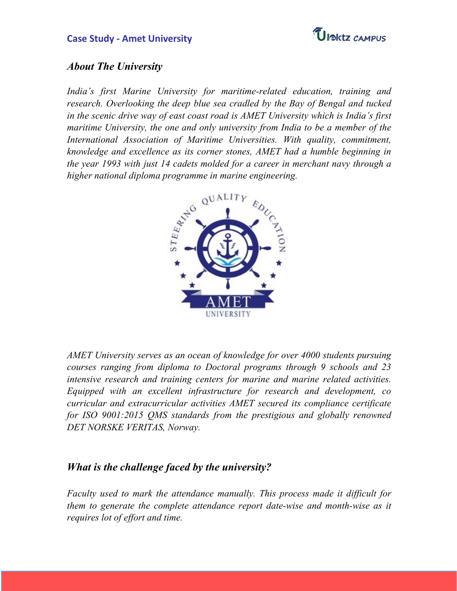

#### **About The University**

India's first Marine University for maritime-related education, training and research. Overlooking the deep blue sea cradled by the Bay of Bengal and tucked in the scenic drive way of east coast road is AMET University which is India's first maritime University, the one and only university from India to be a member of the International Association of Maritime Universities. With quality, commitment, knowledge and excellence as its corner stones, AMET had a humble beginning in the year 1993 with just 14 cadets molded for a career in merchant navy through a higher national diploma programme in marine engineering.



AMET University serves as an ocean of knowledge for over 4000 students pursuing courses ranging from diploma to Doctoral programs through 9 schools and 23 intensive research and training centers for marine and marine related activities. Equipped with an excellent infrastructure for research and development, co curricular and extracurricular activities AMET secured its compliance certificate for ISO 9001:2015 QMS standards from the prestigious and globally renowned DET NORSKE VERITAS, Norway.

# **What is the challenge faced by the university?**

Faculty used to mark the attendance manually. This process made it difficult for them to generate the complete attendance report date-wise and month-wise as it requires lot of effort and time.